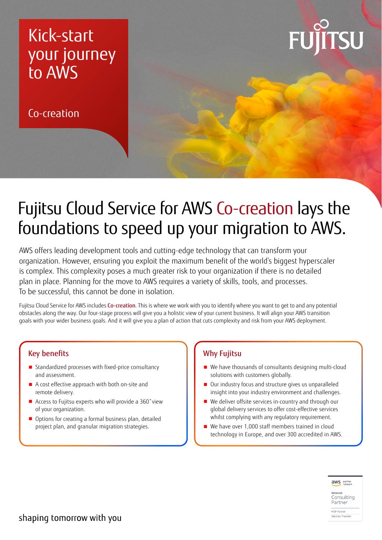## Kick-start your journey to AWS

Co-creation



## Fujitsu Cloud Service for AWS Co-creation lays the foundations to speed up your migration to AWS.

AWS offers leading development tools and cutting-edge technology that can transform your organization. However, ensuring you exploit the maximum benefit of the world's biggest hyperscaler is complex. This complexity poses a much greater risk to your organization if there is no detailed plan in place. Planning for the move to AWS requires a variety of skills, tools, and processes. To be successful, this cannot be done in isolation.

Fujitsu Cloud Service for AWS includes Co-creation. This is where we work with you to identify where you want to get to and any potential obstacles along the way. Our four-stage process will give you a holistic view of your current business. It will align your AWS transition goals with your wider business goals. And it will give you a plan of action that cuts complexity and risk from your AWS deployment.

## Key benefits

- Standardized processes with fixed-price consultancy and assessment.
- A cost effective approach with both on-site and remote delivery.
- Access to Fujitsu experts who will provide a 360° view of your organization.
- Options for creating a formal business plan, detailed project plan, and granular migration strategies.

## Why Fujitsu

- We have thousands of consultants designing multi-cloud solutions with customers globally.
- Our industry focus and structure gives us unparalleled insight into your industry environment and challenges.
- We deliver offsite services in-country and through our global delivery services to offer cost-effective services whilst complying with any regulatory requirement.
- We have over 1,000 staff members trained in cloud technology in Europe, and over 300 accredited in AWS.



Consultina Partner MSP Partner

Solution Provide